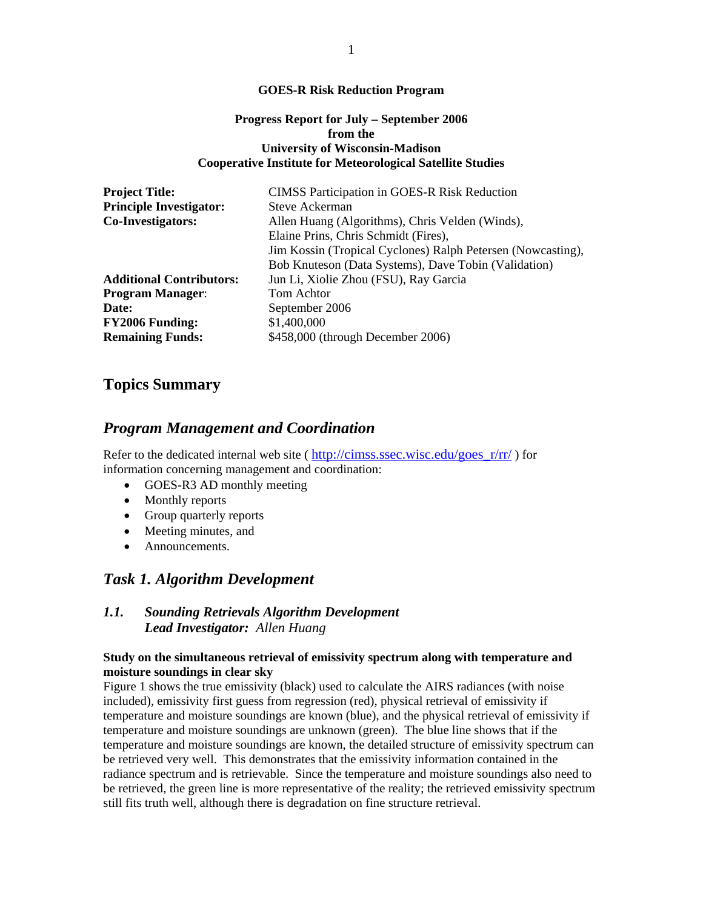#### **GOES-R Risk Reduction Program**

### **Progress Report for July – September 2006 from the University of Wisconsin-Madison Cooperative Institute for Meteorological Satellite Studies**

| <b>Project Title:</b>           | <b>CIMSS Participation in GOES-R Risk Reduction</b>         |
|---------------------------------|-------------------------------------------------------------|
| <b>Principle Investigator:</b>  | Steve Ackerman                                              |
| Co-Investigators:               | Allen Huang (Algorithms), Chris Velden (Winds),             |
|                                 | Elaine Prins, Chris Schmidt (Fires),                        |
|                                 | Jim Kossin (Tropical Cyclones) Ralph Petersen (Nowcasting), |
|                                 | Bob Knuteson (Data Systems), Dave Tobin (Validation)        |
| <b>Additional Contributors:</b> | Jun Li, Xiolie Zhou (FSU), Ray Garcia                       |
| <b>Program Manager:</b>         | Tom Achtor                                                  |
| Date:                           | September 2006                                              |
| <b>FY2006 Funding:</b>          | \$1,400,000                                                 |
| <b>Remaining Funds:</b>         | \$458,000 (through December 2006)                           |

# **Topics Summary**

# *Program Management and Coordination*

Refer to the dedicated internal web site ( $\frac{http://cims.ssec.wisc.edu/goes-r/rr/ }$ ) for information concerning management and coordination:

- GOES-R3 AD monthly meeting
- Monthly reports
- Group quarterly reports
- Meeting minutes, and
- Announcements.

# *Task 1. Algorithm Development*

### *1.1. Sounding Retrievals Algorithm Development Lead Investigator: Allen Huang*

### **Study on the simultaneous retrieval of emissivity spectrum along with temperature and moisture soundings in clear sky**

Figure 1 shows the true emissivity (black) used to calculate the AIRS radiances (with noise included), emissivity first guess from regression (red), physical retrieval of emissivity if temperature and moisture soundings are known (blue), and the physical retrieval of emissivity if temperature and moisture soundings are unknown (green). The blue line shows that if the temperature and moisture soundings are known, the detailed structure of emissivity spectrum can be retrieved very well. This demonstrates that the emissivity information contained in the radiance spectrum and is retrievable. Since the temperature and moisture soundings also need to be retrieved, the green line is more representative of the reality; the retrieved emissivity spectrum still fits truth well, although there is degradation on fine structure retrieval.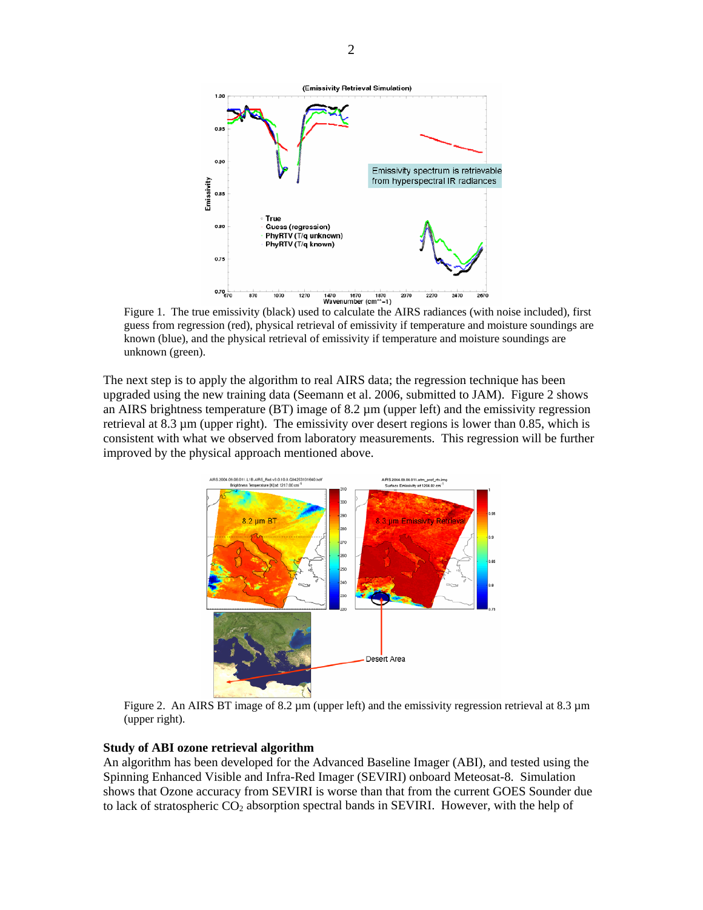

Figure 1. The true emissivity (black) used to calculate the AIRS radiances (with noise included), first guess from regression (red), physical retrieval of emissivity if temperature and moisture soundings are known (blue), and the physical retrieval of emissivity if temperature and moisture soundings are unknown (green).

The next step is to apply the algorithm to real AIRS data; the regression technique has been upgraded using the new training data (Seemann et al. 2006, submitted to JAM). Figure 2 shows an AIRS brightness temperature (BT) image of  $8.2 \mu m$  (upper left) and the emissivity regression retrieval at 8.3 µm (upper right). The emissivity over desert regions is lower than 0.85, which is consistent with what we observed from laboratory measurements. This regression will be further improved by the physical approach mentioned above.



Figure 2. An AIRS BT image of 8.2  $\mu$ m (upper left) and the emissivity regression retrieval at 8.3  $\mu$ m (upper right).

#### **Study of ABI ozone retrieval algorithm**

An algorithm has been developed for the Advanced Baseline Imager (ABI), and tested using the Spinning Enhanced Visible and Infra-Red Imager (SEVIRI) onboard Meteosat-8. Simulation shows that Ozone accuracy from SEVIRI is worse than that from the current GOES Sounder due to lack of stratospheric CO<sub>2</sub> absorption spectral bands in SEVIRI. However, with the help of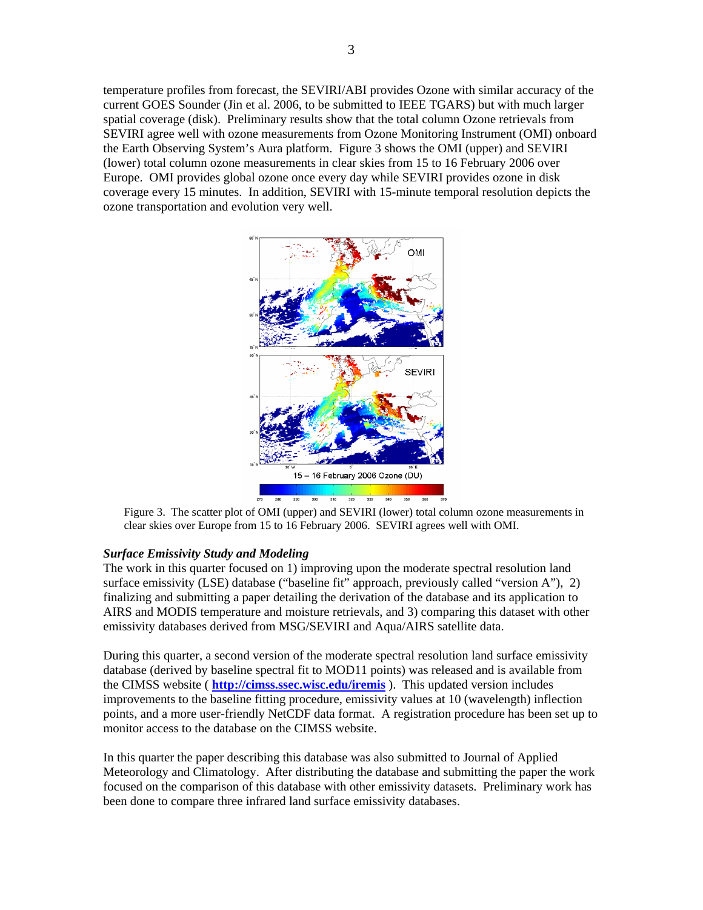temperature profiles from forecast, the SEVIRI/ABI provides Ozone with similar accuracy of the current GOES Sounder (Jin et al. 2006, to be submitted to IEEE TGARS) but with much larger spatial coverage (disk). Preliminary results show that the total column Ozone retrievals from SEVIRI agree well with ozone measurements from Ozone Monitoring Instrument (OMI) onboard the Earth Observing System's Aura platform. Figure 3 shows the OMI (upper) and SEVIRI (lower) total column ozone measurements in clear skies from 15 to 16 February 2006 over Europe. OMI provides global ozone once every day while SEVIRI provides ozone in disk coverage every 15 minutes. In addition, SEVIRI with 15-minute temporal resolution depicts the ozone transportation and evolution very well.



Figure 3. The scatter plot of OMI (upper) and SEVIRI (lower) total column ozone measurements in clear skies over Europe from 15 to 16 February 2006. SEVIRI agrees well with OMI.

#### *Surface Emissivity Study and Modeling*

The work in this quarter focused on 1) improving upon the moderate spectral resolution land surface emissivity (LSE) database ("baseline fit" approach, previously called "version A"), 2) finalizing and submitting a paper detailing the derivation of the database and its application to AIRS and MODIS temperature and moisture retrievals, and 3) comparing this dataset with other emissivity databases derived from MSG/SEVIRI and Aqua/AIRS satellite data.

During this quarter, a second version of the moderate spectral resolution land surface emissivity database (derived by baseline spectral fit to MOD11 points) was released and is available from the CIMSS website ( **http://cimss.ssec.wisc.edu/iremis** ). This updated version includes improvements to the baseline fitting procedure, emissivity values at 10 (wavelength) inflection points, and a more user-friendly NetCDF data format. A registration procedure has been set up to monitor access to the database on the CIMSS website.

In this quarter the paper describing this database was also submitted to Journal of Applied Meteorology and Climatology. After distributing the database and submitting the paper the work focused on the comparison of this database with other emissivity datasets. Preliminary work has been done to compare three infrared land surface emissivity databases.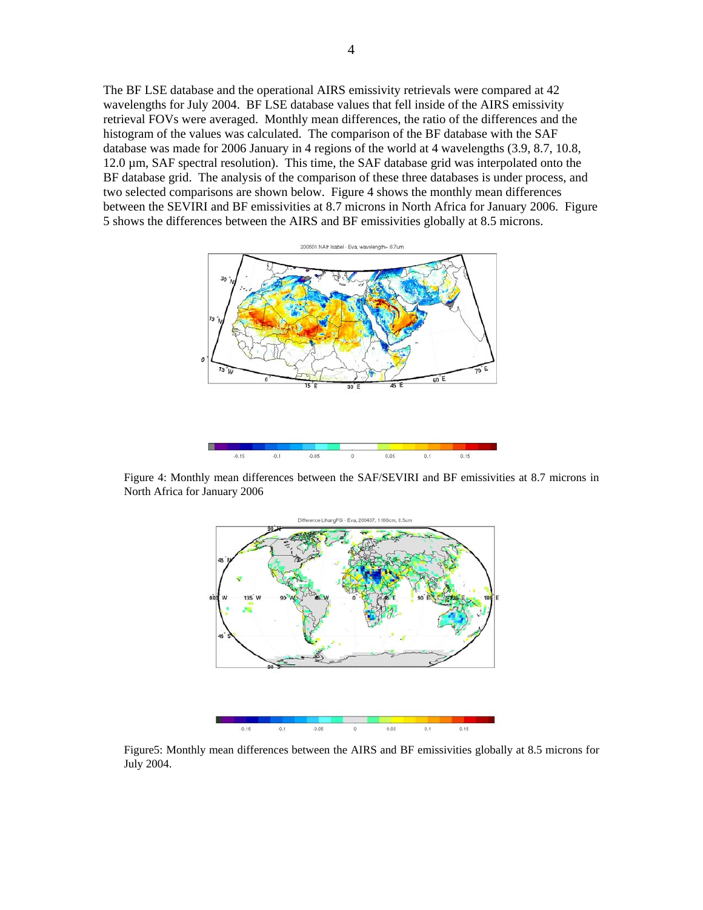The BF LSE database and the operational AIRS emissivity retrievals were compared at 42 wavelengths for July 2004. BF LSE database values that fell inside of the AIRS emissivity retrieval FOVs were averaged. Monthly mean differences, the ratio of the differences and the histogram of the values was calculated. The comparison of the BF database with the SAF database was made for 2006 January in 4 regions of the world at 4 wavelengths (3.9, 8.7, 10.8, 12.0 µm, SAF spectral resolution). This time, the SAF database grid was interpolated onto the BF database grid. The analysis of the comparison of these three databases is under process, and two selected comparisons are shown below. Figure 4 shows the monthly mean differences between the SEVIRI and BF emissivities at 8.7 microns in North Africa for January 2006. Figure 5 shows the differences between the AIRS and BF emissivities globally at 8.5 microns.



Figure 4: Monthly mean differences between the SAF/SEVIRI and BF emissivities at 8.7 microns in North Africa for January 2006



Figure5: Monthly mean differences between the AIRS and BF emissivities globally at 8.5 microns for July 2004.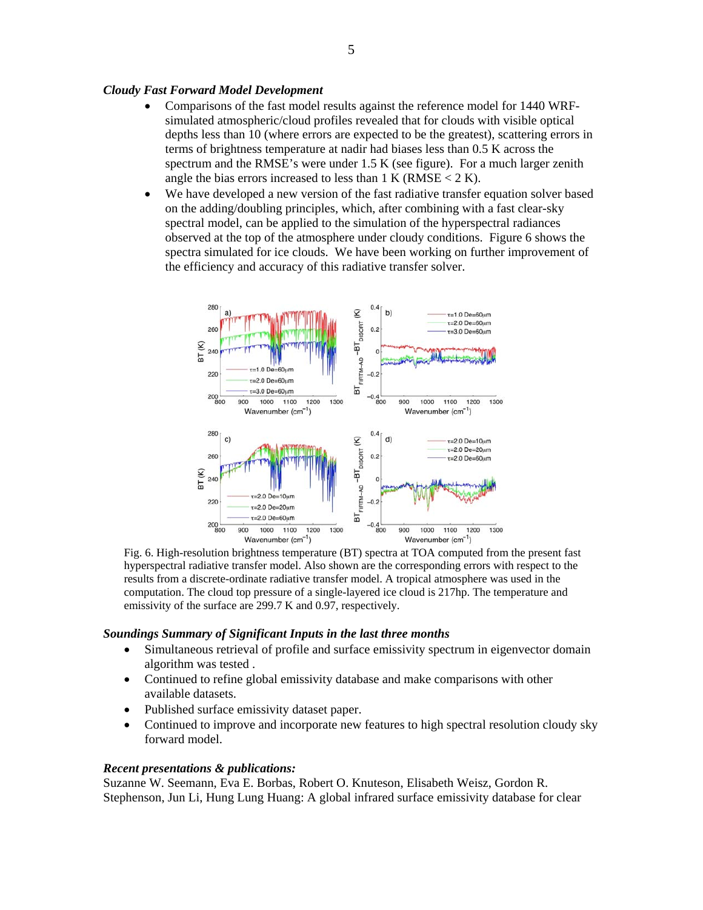### *Cloudy Fast Forward Model Development*

- Comparisons of the fast model results against the reference model for 1440 WRFsimulated atmospheric/cloud profiles revealed that for clouds with visible optical depths less than 10 (where errors are expected to be the greatest), scattering errors in terms of brightness temperature at nadir had biases less than 0.5 K across the spectrum and the RMSE's were under 1.5 K (see figure). For a much larger zenith angle the bias errors increased to less than  $1 \text{ K} (\text{RMSE} < 2 \text{ K})$ .
- We have developed a new version of the fast radiative transfer equation solver based on the adding/doubling principles, which, after combining with a fast clear-sky spectral model, can be applied to the simulation of the hyperspectral radiances observed at the top of the atmosphere under cloudy conditions. Figure 6 shows the spectra simulated for ice clouds. We have been working on further improvement of the efficiency and accuracy of this radiative transfer solver.



Fig. 6. High-resolution brightness temperature (BT) spectra at TOA computed from the present fast hyperspectral radiative transfer model. Also shown are the corresponding errors with respect to the results from a discrete-ordinate radiative transfer model. A tropical atmosphere was used in the computation. The cloud top pressure of a single-layered ice cloud is 217hp. The temperature and emissivity of the surface are 299.7 K and 0.97, respectively.

#### *Soundings Summary of Significant Inputs in the last three months*

- Simultaneous retrieval of profile and surface emissivity spectrum in eigenvector domain algorithm was tested .
- Continued to refine global emissivity database and make comparisons with other available datasets.
- Published surface emissivity dataset paper.
- Continued to improve and incorporate new features to high spectral resolution cloudy sky forward model.

#### *Recent presentations & publications:*

Suzanne W. Seemann, Eva E. Borbas, Robert O. Knuteson, Elisabeth Weisz, Gordon R. Stephenson, Jun Li, Hung Lung Huang: A global infrared surface emissivity database for clear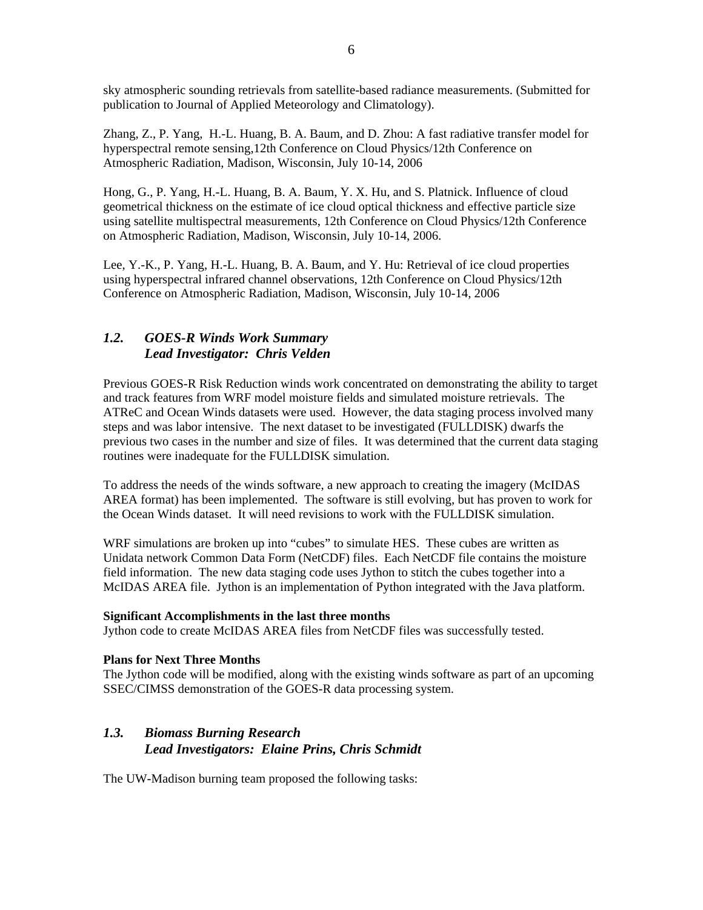sky atmospheric sounding retrievals from satellite-based radiance measurements. (Submitted for publication to Journal of Applied Meteorology and Climatology).

Zhang, Z., P. Yang, H.-L. Huang, B. A. Baum, and D. Zhou: A fast radiative transfer model for hyperspectral remote sensing,12th Conference on Cloud Physics/12th Conference on Atmospheric Radiation, Madison, Wisconsin, July 10-14, 2006

Hong, G., P. Yang, H.-L. Huang, B. A. Baum, Y. X. Hu, and S. Platnick. Influence of cloud geometrical thickness on the estimate of ice cloud optical thickness and effective particle size using satellite multispectral measurements, 12th Conference on Cloud Physics/12th Conference on Atmospheric Radiation, Madison, Wisconsin, July 10-14, 2006.

Lee, Y.-K., P. Yang, H.-L. Huang, B. A. Baum, and Y. Hu: Retrieval of ice cloud properties using hyperspectral infrared channel observations, 12th Conference on Cloud Physics/12th Conference on Atmospheric Radiation, Madison, Wisconsin, July 10-14, 2006

# *1.2. GOES-R Winds Work Summary Lead Investigator: Chris Velden*

Previous GOES-R Risk Reduction winds work concentrated on demonstrating the ability to target and track features from WRF model moisture fields and simulated moisture retrievals. The ATReC and Ocean Winds datasets were used. However, the data staging process involved many steps and was labor intensive. The next dataset to be investigated (FULLDISK) dwarfs the previous two cases in the number and size of files. It was determined that the current data staging routines were inadequate for the FULLDISK simulation.

To address the needs of the winds software, a new approach to creating the imagery (McIDAS AREA format) has been implemented. The software is still evolving, but has proven to work for the Ocean Winds dataset. It will need revisions to work with the FULLDISK simulation.

WRF simulations are broken up into "cubes" to simulate HES. These cubes are written as Unidata network Common Data Form (NetCDF) files. Each NetCDF file contains the moisture field information. The new data staging code uses Jython to stitch the cubes together into a McIDAS AREA file. Jython is an implementation of Python integrated with the Java platform.

#### **Significant Accomplishments in the last three months**

Jython code to create McIDAS AREA files from NetCDF files was successfully tested.

### **Plans for Next Three Months**

The Jython code will be modified, along with the existing winds software as part of an upcoming SSEC/CIMSS demonstration of the GOES-R data processing system.

# *1.3. Biomass Burning Research Lead Investigators: Elaine Prins, Chris Schmidt*

The UW-Madison burning team proposed the following tasks: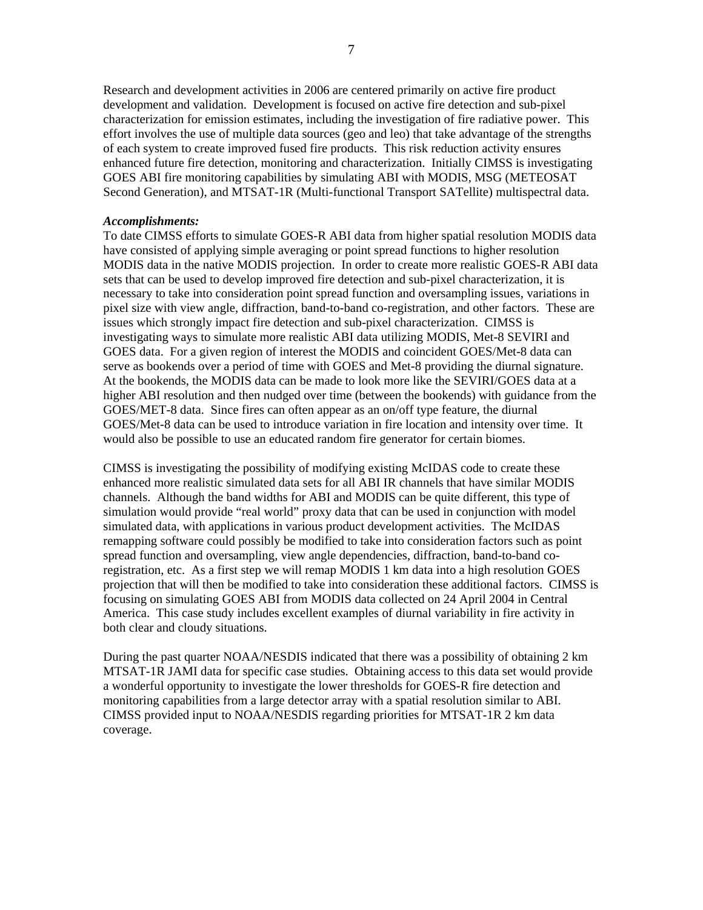Research and development activities in 2006 are centered primarily on active fire product development and validation. Development is focused on active fire detection and sub-pixel characterization for emission estimates, including the investigation of fire radiative power. This effort involves the use of multiple data sources (geo and leo) that take advantage of the strengths of each system to create improved fused fire products. This risk reduction activity ensures enhanced future fire detection, monitoring and characterization. Initially CIMSS is investigating GOES ABI fire monitoring capabilities by simulating ABI with MODIS, MSG (METEOSAT Second Generation), and MTSAT-1R (Multi-functional Transport SATellite) multispectral data.

#### *Accomplishments:*

To date CIMSS efforts to simulate GOES-R ABI data from higher spatial resolution MODIS data have consisted of applying simple averaging or point spread functions to higher resolution MODIS data in the native MODIS projection. In order to create more realistic GOES-R ABI data sets that can be used to develop improved fire detection and sub-pixel characterization, it is necessary to take into consideration point spread function and oversampling issues, variations in pixel size with view angle, diffraction, band-to-band co-registration, and other factors. These are issues which strongly impact fire detection and sub-pixel characterization. CIMSS is investigating ways to simulate more realistic ABI data utilizing MODIS, Met-8 SEVIRI and GOES data. For a given region of interest the MODIS and coincident GOES/Met-8 data can serve as bookends over a period of time with GOES and Met-8 providing the diurnal signature. At the bookends, the MODIS data can be made to look more like the SEVIRI/GOES data at a higher ABI resolution and then nudged over time (between the bookends) with guidance from the GOES/MET-8 data. Since fires can often appear as an on/off type feature, the diurnal GOES/Met-8 data can be used to introduce variation in fire location and intensity over time. It would also be possible to use an educated random fire generator for certain biomes.

CIMSS is investigating the possibility of modifying existing McIDAS code to create these enhanced more realistic simulated data sets for all ABI IR channels that have similar MODIS channels. Although the band widths for ABI and MODIS can be quite different, this type of simulation would provide "real world" proxy data that can be used in conjunction with model simulated data, with applications in various product development activities. The McIDAS remapping software could possibly be modified to take into consideration factors such as point spread function and oversampling, view angle dependencies, diffraction, band-to-band coregistration, etc. As a first step we will remap MODIS 1 km data into a high resolution GOES projection that will then be modified to take into consideration these additional factors. CIMSS is focusing on simulating GOES ABI from MODIS data collected on 24 April 2004 in Central America. This case study includes excellent examples of diurnal variability in fire activity in both clear and cloudy situations.

During the past quarter NOAA/NESDIS indicated that there was a possibility of obtaining 2 km MTSAT-1R JAMI data for specific case studies. Obtaining access to this data set would provide a wonderful opportunity to investigate the lower thresholds for GOES-R fire detection and monitoring capabilities from a large detector array with a spatial resolution similar to ABI. CIMSS provided input to NOAA/NESDIS regarding priorities for MTSAT-1R 2 km data coverage.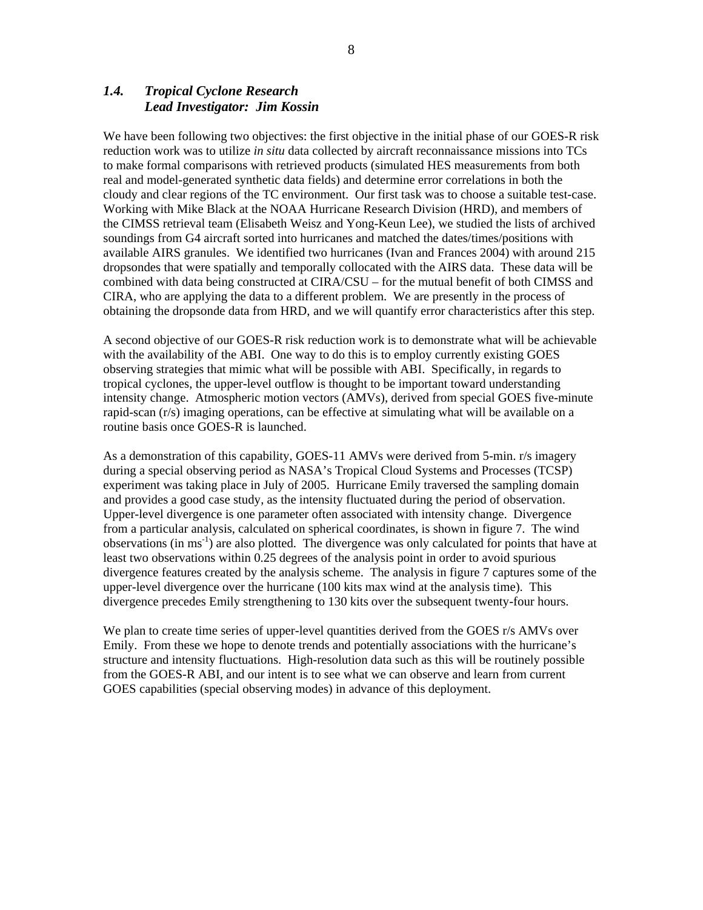### *1.4. Tropical Cyclone Research Lead Investigator: Jim Kossin*

We have been following two objectives: the first objective in the initial phase of our GOES-R risk reduction work was to utilize *in situ* data collected by aircraft reconnaissance missions into TCs to make formal comparisons with retrieved products (simulated HES measurements from both real and model-generated synthetic data fields) and determine error correlations in both the cloudy and clear regions of the TC environment. Our first task was to choose a suitable test-case. Working with Mike Black at the NOAA Hurricane Research Division (HRD), and members of the CIMSS retrieval team (Elisabeth Weisz and Yong-Keun Lee), we studied the lists of archived soundings from G4 aircraft sorted into hurricanes and matched the dates/times/positions with available AIRS granules. We identified two hurricanes (Ivan and Frances 2004) with around 215 dropsondes that were spatially and temporally collocated with the AIRS data. These data will be combined with data being constructed at CIRA/CSU – for the mutual benefit of both CIMSS and CIRA, who are applying the data to a different problem. We are presently in the process of obtaining the dropsonde data from HRD, and we will quantify error characteristics after this step.

A second objective of our GOES-R risk reduction work is to demonstrate what will be achievable with the availability of the ABI. One way to do this is to employ currently existing GOES observing strategies that mimic what will be possible with ABI. Specifically, in regards to tropical cyclones, the upper-level outflow is thought to be important toward understanding intensity change. Atmospheric motion vectors (AMVs), derived from special GOES five-minute rapid-scan (r/s) imaging operations, can be effective at simulating what will be available on a routine basis once GOES-R is launched.

As a demonstration of this capability, GOES-11 AMVs were derived from 5-min. r/s imagery during a special observing period as NASA's Tropical Cloud Systems and Processes (TCSP) experiment was taking place in July of 2005. Hurricane Emily traversed the sampling domain and provides a good case study, as the intensity fluctuated during the period of observation. Upper-level divergence is one parameter often associated with intensity change. Divergence from a particular analysis, calculated on spherical coordinates, is shown in figure 7. The wind observations (in ms<sup>-1</sup>) are also plotted. The divergence was only calculated for points that have at least two observations within 0.25 degrees of the analysis point in order to avoid spurious divergence features created by the analysis scheme. The analysis in figure 7 captures some of the upper-level divergence over the hurricane (100 kits max wind at the analysis time). This divergence precedes Emily strengthening to 130 kits over the subsequent twenty-four hours.

We plan to create time series of upper-level quantities derived from the GOES r/s AMVs over Emily. From these we hope to denote trends and potentially associations with the hurricane's structure and intensity fluctuations. High-resolution data such as this will be routinely possible from the GOES-R ABI, and our intent is to see what we can observe and learn from current GOES capabilities (special observing modes) in advance of this deployment.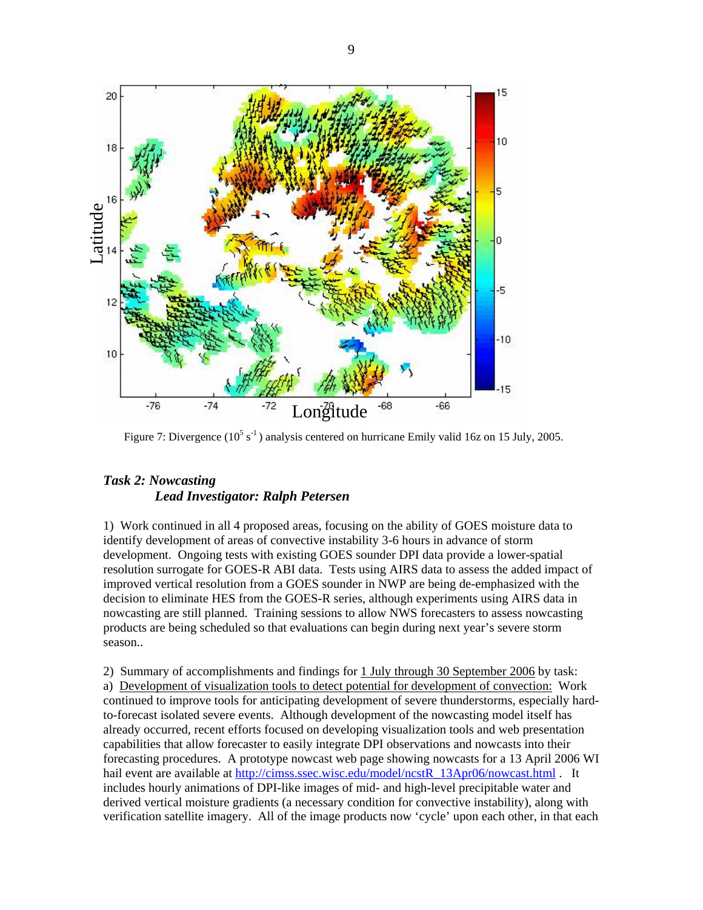

Figure 7: Divergence  $(10^5 \text{ s}^{-1})$  analysis centered on hurricane Emily valid 16z on 15 July, 2005.

# *Task 2: Nowcasting Lead Investigator: Ralph Petersen*

1) Work continued in all 4 proposed areas, focusing on the ability of GOES moisture data to identify development of areas of convective instability 3-6 hours in advance of storm development. Ongoing tests with existing GOES sounder DPI data provide a lower-spatial resolution surrogate for GOES-R ABI data. Tests using AIRS data to assess the added impact of improved vertical resolution from a GOES sounder in NWP are being de-emphasized with the decision to eliminate HES from the GOES-R series, although experiments using AIRS data in nowcasting are still planned. Training sessions to allow NWS forecasters to assess nowcasting products are being scheduled so that evaluations can begin during next year's severe storm season..

2) Summary of accomplishments and findings for 1 July through 30 September 2006 by task: a) Development of visualization tools to detect potential for development of convection: Work continued to improve tools for anticipating development of severe thunderstorms, especially hardto-forecast isolated severe events. Although development of the nowcasting model itself has already occurred, recent efforts focused on developing visualization tools and web presentation capabilities that allow forecaster to easily integrate DPI observations and nowcasts into their forecasting procedures. A prototype nowcast web page showing nowcasts for a 13 April 2006 WI hail event are available at http://cimss.ssec.wisc.edu/model/ncstR\_13Apr06/nowcast.html . It includes hourly animations of DPI-like images of mid- and high-level precipitable water and derived vertical moisture gradients (a necessary condition for convective instability), along with verification satellite imagery. All of the image products now 'cycle' upon each other, in that each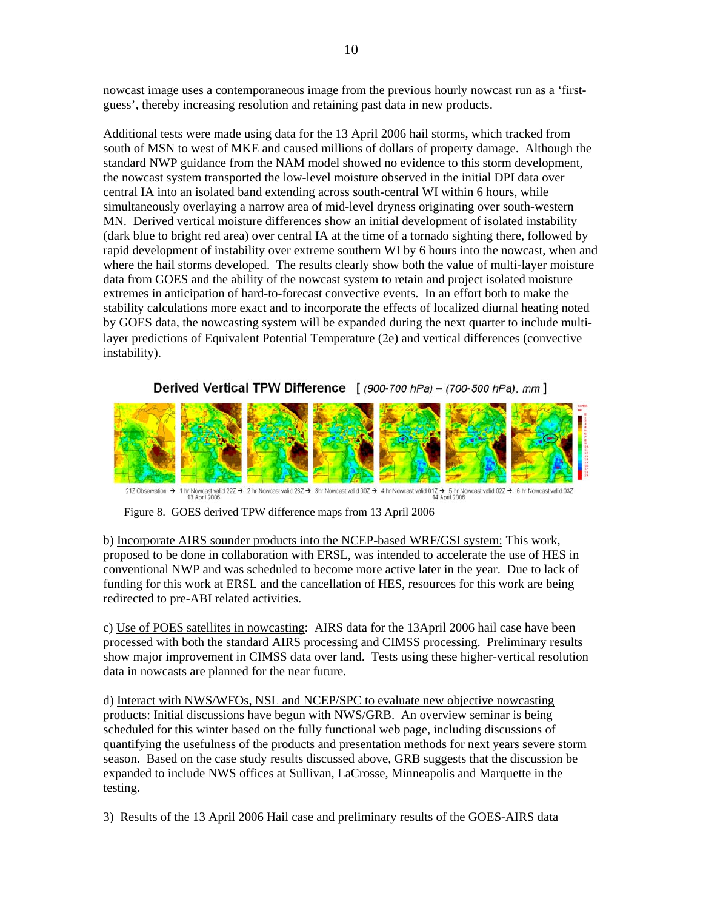nowcast image uses a contemporaneous image from the previous hourly nowcast run as a 'firstguess', thereby increasing resolution and retaining past data in new products.

Additional tests were made using data for the 13 April 2006 hail storms, which tracked from south of MSN to west of MKE and caused millions of dollars of property damage. Although the standard NWP guidance from the NAM model showed no evidence to this storm development, the nowcast system transported the low-level moisture observed in the initial DPI data over central IA into an isolated band extending across south-central WI within 6 hours, while simultaneously overlaying a narrow area of mid-level dryness originating over south-western MN. Derived vertical moisture differences show an initial development of isolated instability (dark blue to bright red area) over central IA at the time of a tornado sighting there, followed by rapid development of instability over extreme southern WI by 6 hours into the nowcast, when and where the hail storms developed. The results clearly show both the value of multi-layer moisture data from GOES and the ability of the nowcast system to retain and project isolated moisture extremes in anticipation of hard-to-forecast convective events. In an effort both to make the stability calculations more exact and to incorporate the effects of localized diurnal heating noted by GOES data, the nowcasting system will be expanded during the next quarter to include multilayer predictions of Equivalent Potential Temperature (2e) and vertical differences (convective instability).

Derived Vertical TPW Difference  $(900-700 hPa) - (700-500 hPa)$ , mm ]



21Z Observation > 1 hr Nowcast valid 22Z > 2 hr Nowcast valid 23Z > 3 hr Nowcast valid 00Z > 4 hr Nowcast valid 01Z > 5 hr Nowcast valid 02Z → 6 hr Nowcast valid 03Z + 13 April 2008

Figure 8. GOES derived TPW difference maps from 13 April 2006

b) Incorporate AIRS sounder products into the NCEP-based WRF/GSI system: This work, proposed to be done in collaboration with ERSL, was intended to accelerate the use of HES in conventional NWP and was scheduled to become more active later in the year. Due to lack of funding for this work at ERSL and the cancellation of HES, resources for this work are being redirected to pre-ABI related activities.

c) Use of POES satellites in nowcasting: AIRS data for the 13April 2006 hail case have been processed with both the standard AIRS processing and CIMSS processing. Preliminary results show major improvement in CIMSS data over land. Tests using these higher-vertical resolution data in nowcasts are planned for the near future.

d) Interact with NWS/WFOs, NSL and NCEP/SPC to evaluate new objective nowcasting products: Initial discussions have begun with NWS/GRB. An overview seminar is being scheduled for this winter based on the fully functional web page, including discussions of quantifying the usefulness of the products and presentation methods for next years severe storm season. Based on the case study results discussed above, GRB suggests that the discussion be expanded to include NWS offices at Sullivan, LaCrosse, Minneapolis and Marquette in the testing.

3) Results of the 13 April 2006 Hail case and preliminary results of the GOES-AIRS data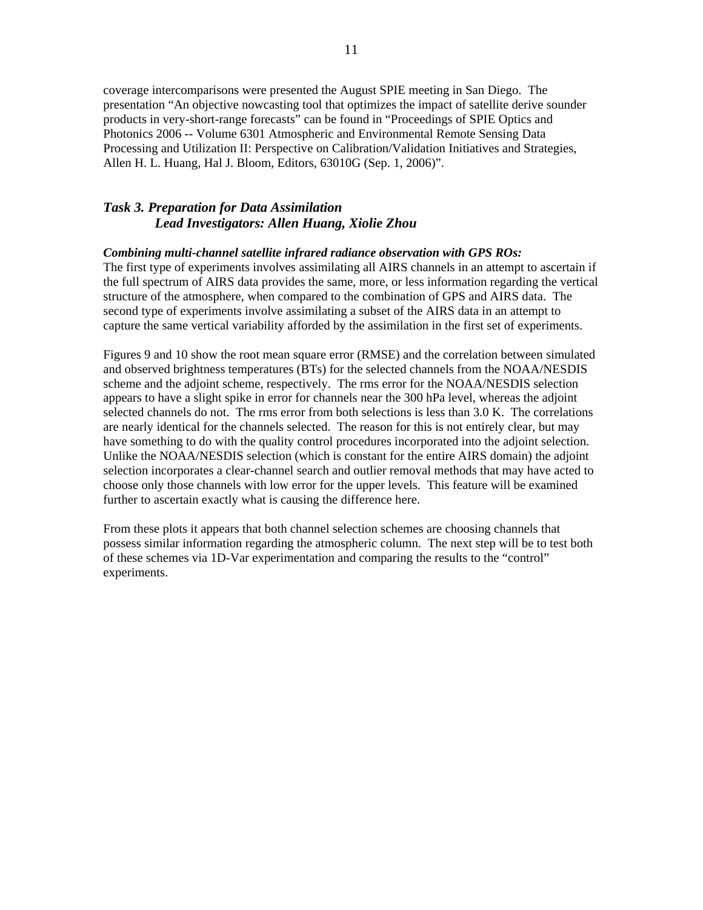coverage intercomparisons were presented the August SPIE meeting in San Diego. The presentation "An objective nowcasting tool that optimizes the impact of satellite derive sounder products in very-short-range forecasts" can be found in "Proceedings of SPIE Optics and Photonics 2006 -- Volume 6301 Atmospheric and Environmental Remote Sensing Data Processing and Utilization II: Perspective on Calibration/Validation Initiatives and Strategies, Allen H. L. Huang, Hal J. Bloom, Editors, 63010G (Sep. 1, 2006)".

### *Task 3. Preparation for Data Assimilation Lead Investigators: Allen Huang, Xiolie Zhou*

### *Combining multi-channel satellite infrared radiance observation with GPS ROs:*

The first type of experiments involves assimilating all AIRS channels in an attempt to ascertain if the full spectrum of AIRS data provides the same, more, or less information regarding the vertical structure of the atmosphere, when compared to the combination of GPS and AIRS data. The second type of experiments involve assimilating a subset of the AIRS data in an attempt to capture the same vertical variability afforded by the assimilation in the first set of experiments.

Figures 9 and 10 show the root mean square error (RMSE) and the correlation between simulated and observed brightness temperatures (BTs) for the selected channels from the NOAA/NESDIS scheme and the adjoint scheme, respectively. The rms error for the NOAA/NESDIS selection appears to have a slight spike in error for channels near the 300 hPa level, whereas the adjoint selected channels do not. The rms error from both selections is less than 3.0 K. The correlations are nearly identical for the channels selected. The reason for this is not entirely clear, but may have something to do with the quality control procedures incorporated into the adjoint selection. Unlike the NOAA/NESDIS selection (which is constant for the entire AIRS domain) the adjoint selection incorporates a clear-channel search and outlier removal methods that may have acted to choose only those channels with low error for the upper levels. This feature will be examined further to ascertain exactly what is causing the difference here.

From these plots it appears that both channel selection schemes are choosing channels that possess similar information regarding the atmospheric column. The next step will be to test both of these schemes via 1D-Var experimentation and comparing the results to the "control" experiments.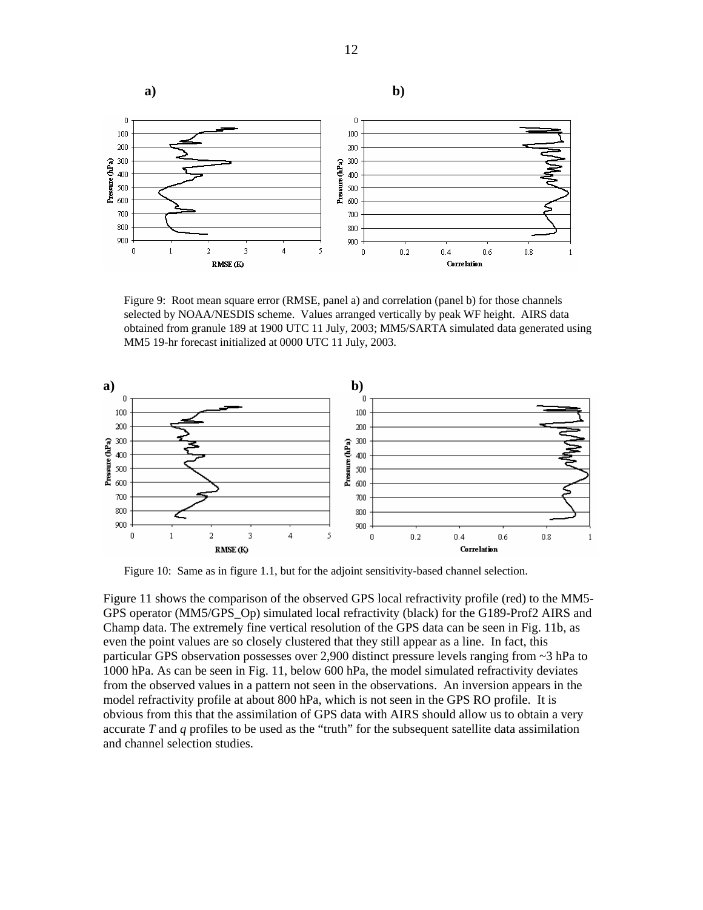

Figure 9: Root mean square error (RMSE, panel a) and correlation (panel b) for those channels selected by NOAA/NESDIS scheme. Values arranged vertically by peak WF height. AIRS data obtained from granule 189 at 1900 UTC 11 July, 2003; MM5/SARTA simulated data generated using MM5 19-hr forecast initialized at 0000 UTC 11 July, 2003.



Figure 10: Same as in figure 1.1, but for the adjoint sensitivity-based channel selection.

Figure 11 shows the comparison of the observed GPS local refractivity profile (red) to the MM5- GPS operator (MM5/GPS\_Op) simulated local refractivity (black) for the G189-Prof2 AIRS and Champ data. The extremely fine vertical resolution of the GPS data can be seen in Fig. 11b, as even the point values are so closely clustered that they still appear as a line. In fact, this particular GPS observation possesses over 2,900 distinct pressure levels ranging from ~3 hPa to 1000 hPa. As can be seen in Fig. 11, below 600 hPa, the model simulated refractivity deviates from the observed values in a pattern not seen in the observations. An inversion appears in the model refractivity profile at about 800 hPa, which is not seen in the GPS RO profile. It is obvious from this that the assimilation of GPS data with AIRS should allow us to obtain a very accurate *T* and *q* profiles to be used as the "truth" for the subsequent satellite data assimilation and channel selection studies.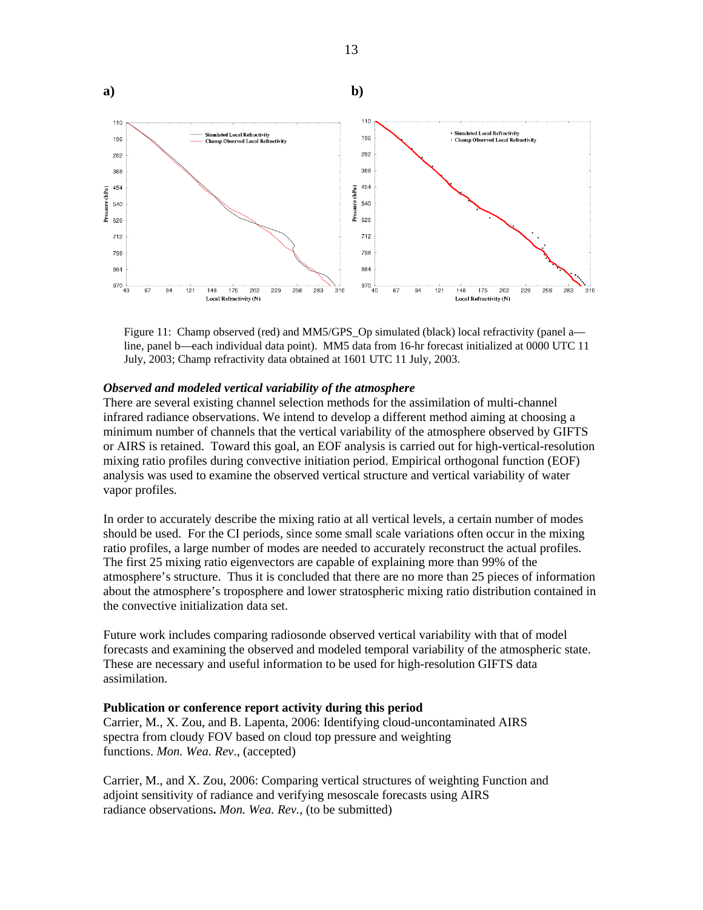



#### *Observed and modeled vertical variability of the atmosphere*

There are several existing channel selection methods for the assimilation of multi-channel infrared radiance observations. We intend to develop a different method aiming at choosing a minimum number of channels that the vertical variability of the atmosphere observed by GIFTS or AIRS is retained. Toward this goal, an EOF analysis is carried out for high-vertical-resolution mixing ratio profiles during convective initiation period. Empirical orthogonal function (EOF) analysis was used to examine the observed vertical structure and vertical variability of water vapor profiles.

In order to accurately describe the mixing ratio at all vertical levels, a certain number of modes should be used. For the CI periods, since some small scale variations often occur in the mixing ratio profiles, a large number of modes are needed to accurately reconstruct the actual profiles. The first 25 mixing ratio eigenvectors are capable of explaining more than 99% of the atmosphere's structure. Thus it is concluded that there are no more than 25 pieces of information about the atmosphere's troposphere and lower stratospheric mixing ratio distribution contained in the convective initialization data set.

Future work includes comparing radiosonde observed vertical variability with that of model forecasts and examining the observed and modeled temporal variability of the atmospheric state. These are necessary and useful information to be used for high-resolution GIFTS data assimilation.

#### **Publication or conference report activity during this period**

Carrier, M., X. Zou, and B. Lapenta, 2006: Identifying cloud-uncontaminated AIRS spectra from cloudy FOV based on cloud top pressure and weighting functions. *Mon. Wea. Rev*., (accepted)

Carrier, M., and X. Zou, 2006: Comparing vertical structures of weighting Function and adjoint sensitivity of radiance and verifying mesoscale forecasts using AIRS radiance observations**.** *Mon. Wea. Rev.*, (to be submitted)

13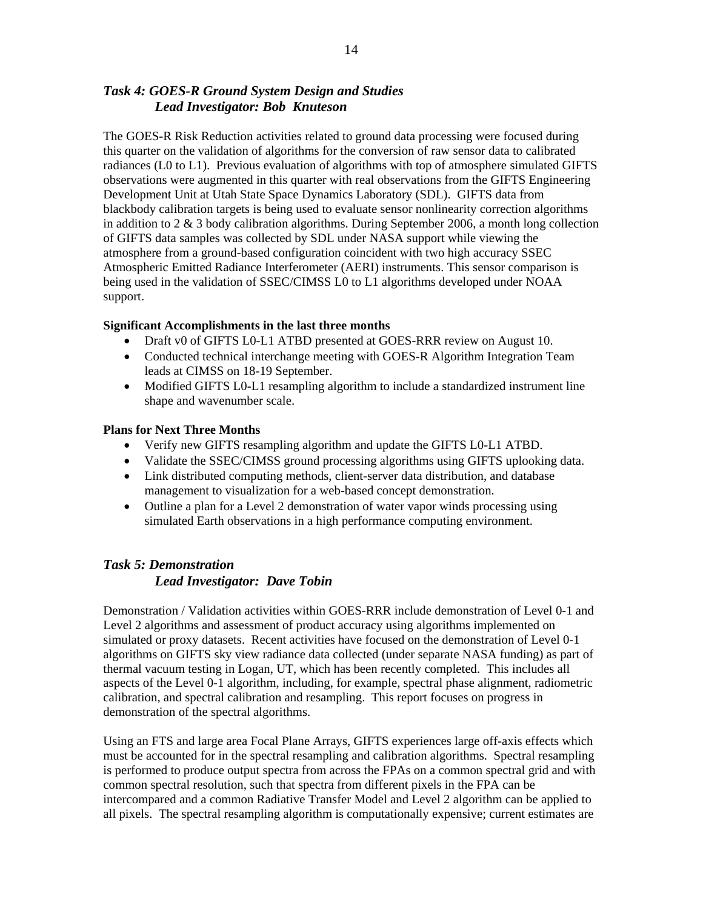# *Task 4: GOES-R Ground System Design and Studies Lead Investigator: Bob Knuteson*

The GOES-R Risk Reduction activities related to ground data processing were focused during this quarter on the validation of algorithms for the conversion of raw sensor data to calibrated radiances (L0 to L1). Previous evaluation of algorithms with top of atmosphere simulated GIFTS observations were augmented in this quarter with real observations from the GIFTS Engineering Development Unit at Utah State Space Dynamics Laboratory (SDL). GIFTS data from blackbody calibration targets is being used to evaluate sensor nonlinearity correction algorithms in addition to  $2 \& 3$  body calibration algorithms. During September 2006, a month long collection of GIFTS data samples was collected by SDL under NASA support while viewing the atmosphere from a ground-based configuration coincident with two high accuracy SSEC Atmospheric Emitted Radiance Interferometer (AERI) instruments. This sensor comparison is being used in the validation of SSEC/CIMSS L0 to L1 algorithms developed under NOAA support.

### **Significant Accomplishments in the last three months**

- Draft v0 of GIFTS L0-L1 ATBD presented at GOES-RRR review on August 10.
- Conducted technical interchange meeting with GOES-R Algorithm Integration Team leads at CIMSS on 18-19 September.
- Modified GIFTS L0-L1 resampling algorithm to include a standardized instrument line shape and wavenumber scale.

### **Plans for Next Three Months**

- Verify new GIFTS resampling algorithm and update the GIFTS L0-L1 ATBD.
- Validate the SSEC/CIMSS ground processing algorithms using GIFTS uplooking data.
- Link distributed computing methods, client-server data distribution, and database management to visualization for a web-based concept demonstration.
- Outline a plan for a Level 2 demonstration of water vapor winds processing using simulated Earth observations in a high performance computing environment.

# *Task 5: Demonstration Lead Investigator: Dave Tobin*

Demonstration / Validation activities within GOES-RRR include demonstration of Level 0-1 and Level 2 algorithms and assessment of product accuracy using algorithms implemented on simulated or proxy datasets. Recent activities have focused on the demonstration of Level 0-1 algorithms on GIFTS sky view radiance data collected (under separate NASA funding) as part of thermal vacuum testing in Logan, UT, which has been recently completed. This includes all aspects of the Level 0-1 algorithm, including, for example, spectral phase alignment, radiometric calibration, and spectral calibration and resampling. This report focuses on progress in demonstration of the spectral algorithms.

Using an FTS and large area Focal Plane Arrays, GIFTS experiences large off-axis effects which must be accounted for in the spectral resampling and calibration algorithms. Spectral resampling is performed to produce output spectra from across the FPAs on a common spectral grid and with common spectral resolution, such that spectra from different pixels in the FPA can be intercompared and a common Radiative Transfer Model and Level 2 algorithm can be applied to all pixels. The spectral resampling algorithm is computationally expensive; current estimates are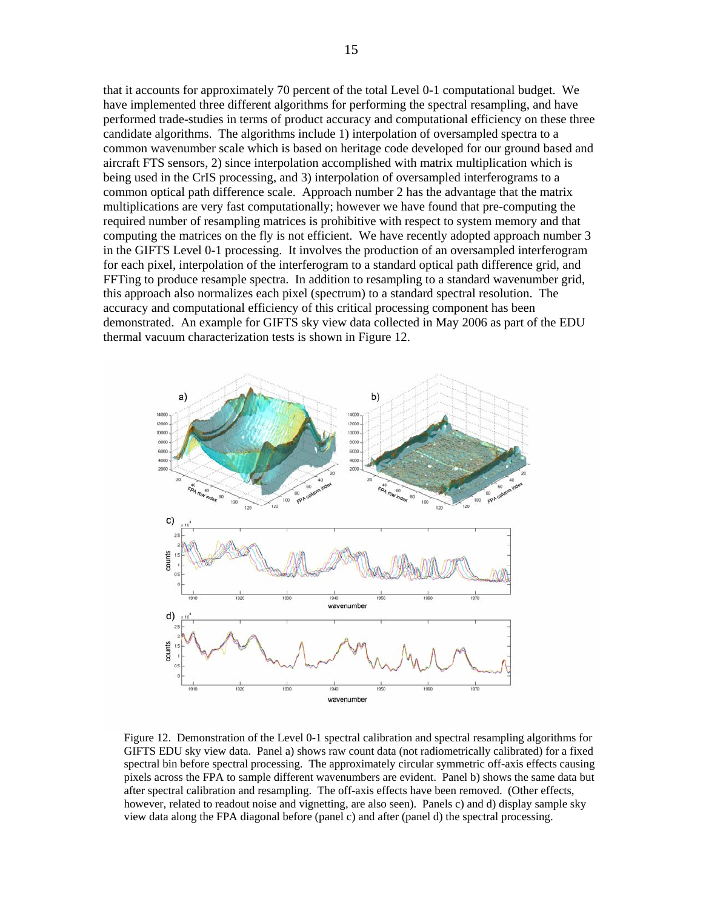that it accounts for approximately 70 percent of the total Level 0-1 computational budget. We have implemented three different algorithms for performing the spectral resampling, and have performed trade-studies in terms of product accuracy and computational efficiency on these three candidate algorithms. The algorithms include 1) interpolation of oversampled spectra to a common wavenumber scale which is based on heritage code developed for our ground based and aircraft FTS sensors, 2) since interpolation accomplished with matrix multiplication which is being used in the CrIS processing, and 3) interpolation of oversampled interferograms to a common optical path difference scale. Approach number 2 has the advantage that the matrix multiplications are very fast computationally; however we have found that pre-computing the required number of resampling matrices is prohibitive with respect to system memory and that computing the matrices on the fly is not efficient. We have recently adopted approach number 3 in the GIFTS Level 0-1 processing. It involves the production of an oversampled interferogram for each pixel, interpolation of the interferogram to a standard optical path difference grid, and FFTing to produce resample spectra. In addition to resampling to a standard wavenumber grid, this approach also normalizes each pixel (spectrum) to a standard spectral resolution. The accuracy and computational efficiency of this critical processing component has been demonstrated. An example for GIFTS sky view data collected in May 2006 as part of the EDU thermal vacuum characterization tests is shown in Figure 12.



Figure 12. Demonstration of the Level 0-1 spectral calibration and spectral resampling algorithms for GIFTS EDU sky view data. Panel a) shows raw count data (not radiometrically calibrated) for a fixed spectral bin before spectral processing. The approximately circular symmetric off-axis effects causing pixels across the FPA to sample different wavenumbers are evident. Panel b) shows the same data but after spectral calibration and resampling. The off-axis effects have been removed. (Other effects, however, related to readout noise and vignetting, are also seen). Panels c) and d) display sample sky view data along the FPA diagonal before (panel c) and after (panel d) the spectral processing.